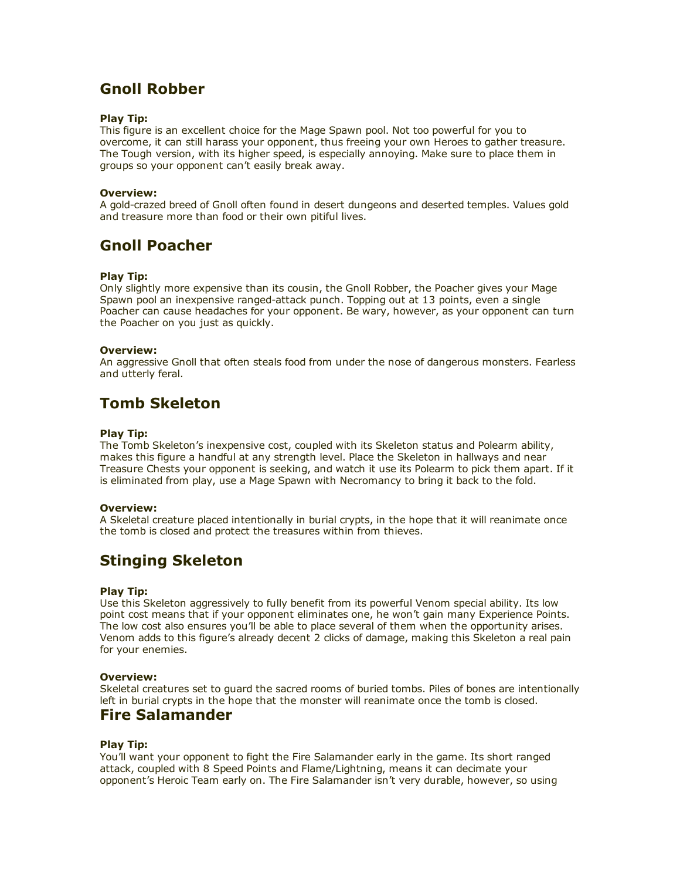# Gnoll Robber

#### Play Tip:

This figure is an excellent choice for the Mage Spawn pool. Not too powerful for you to overcome, it can still harass your opponent, thus freeing your own Heroes to gather treasure. The Tough version, with its higher speed, is especially annoying. Make sure to place them in groups so your opponent can't easily break away.

#### Overview:

A gold-crazed breed of Gnoll often found in desert dungeons and deserted temples. Values gold and treasure more than food or their own pitiful lives.

# Gnoll Poacher

#### Play Tip:

Only slightly more expensive than its cousin, the Gnoll Robber, the Poacher gives your Mage Spawn pool an inexpensive ranged-attack punch. Topping out at 13 points, even a single Poacher can cause headaches for your opponent. Be wary, however, as your opponent can turn the Poacher on you just as quickly.

#### Overview:

An aggressive Gnoll that often steals food from under the nose of dangerous monsters. Fearless and utterly feral.

# Tomb Skeleton

#### Play Tip:

The Tomb Skeleton's inexpensive cost, coupled with its Skeleton status and Polearm ability, makes this figure a handful at any strength level. Place the Skeleton in hallways and near Treasure Chests your opponent is seeking, and watch it use its Polearm to pick them apart. If it is eliminated from play, use a Mage Spawn with Necromancy to bring it back to the fold.

#### Overview:

A Skeletal creature placed intentionally in burial crypts, in the hope that it will reanimate once the tomb is closed and protect the treasures within from thieves.

# Stinging Skeleton

#### Play Tip:

Use this Skeleton aggressively to fully benefit from its powerful Venom special ability. Its low point cost means that if your opponent eliminates one, he won't gain many Experience Points. The low cost also ensures you'll be able to place several of them when the opportunity arises. Venom adds to this figure's already decent 2 clicks of damage, making this Skeleton a real pain for your enemies.

#### Overview:

Skeletal creatures set to guard the sacred rooms of buried tombs. Piles of bones are intentionally left in burial crypts in the hope that the monster will reanimate once the tomb is closed.

### Fire Salamander

#### Play Tip:

You'll want your opponent to fight the Fire Salamander early in the game. Its short ranged attack, coupled with 8 Speed Points and Flame/Lightning, means it can decimate your opponent's Heroic Team early on. The Fire Salamander isn't very durable, however, so using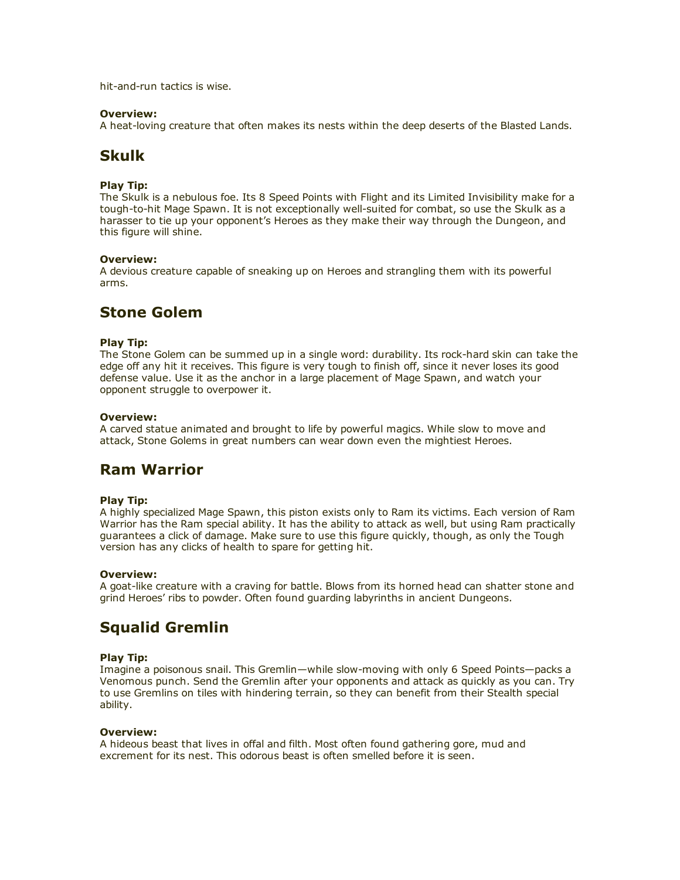hit-and-run tactics is wise.

#### Overview:

A heat-loving creature that often makes its nests within the deep deserts of the Blasted Lands.

### Skulk

#### Play Tip:

The Skulk is a nebulous foe. Its 8 Speed Points with Flight and its Limited Invisibility make for a tough-to-hit Mage Spawn. It is not exceptionally well-suited for combat, so use the Skulk as a harasser to tie up your opponent's Heroes as they make their way through the Dungeon, and this figure will shine.

#### Overview:

A devious creature capable of sneaking up on Heroes and strangling them with its powerful arms.

### Stone Golem

#### Play Tip:

The Stone Golem can be summed up in a single word: durability. Its rock-hard skin can take the edge off any hit it receives. This figure is very tough to finish off, since it never loses its good defense value. Use it as the anchor in a large placement of Mage Spawn, and watch your opponent struggle to overpower it.

#### Overview:

A carved statue animated and brought to life by powerful magics. While slow to move and attack, Stone Golems in great numbers can wear down even the mightiest Heroes.

# Ram Warrior

#### Play Tip:

A highly specialized Mage Spawn, this piston exists only to Ram its victims. Each version of Ram Warrior has the Ram special ability. It has the ability to attack as well, but using Ram practically guarantees a click of damage. Make sure to use this figure quickly, though, as only the Tough version has any clicks of health to spare for getting hit.

#### Overview:

A goat-like creature with a craving for battle. Blows from its horned head can shatter stone and grind Heroes' ribs to powder. Often found guarding labyrinths in ancient Dungeons.

# Squalid Gremlin

#### Play Tip:

Imagine a poisonous snail. This Gremlin-while slow-moving with only 6 Speed Points-packs a Venomous punch. Send the Gremlin after your opponents and attack as quickly as you can. Try to use Gremlins on tiles with hindering terrain, so they can benefit from their Stealth special ability.

#### Overview:

A hideous beast that lives in offal and filth. Most often found gathering gore, mud and excrement for its nest. This odorous beast is often smelled before it is seen.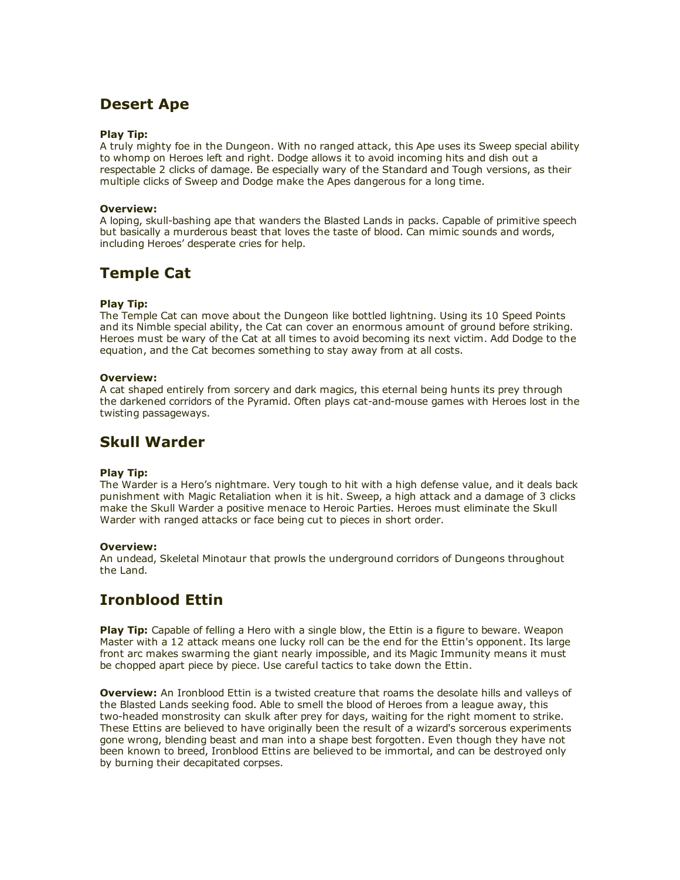# Desert Ape

#### Play Tip:

A truly mighty foe in the Dungeon. With no ranged attack, this Ape uses its Sweep special ability to whomp on Heroes left and right. Dodge allows it to avoid incoming hits and dish out a respectable 2 clicks of damage. Be especially wary of the Standard and Tough versions, as their multiple clicks of Sweep and Dodge make the Apes dangerous for a long time.

#### Overview:

A loping, skull-bashing ape that wanders the Blasted Lands in packs. Capable of primitive speech but basically a murderous beast that loves the taste of blood. Can mimic sounds and words, including Heroes' desperate cries for help.

# Temple Cat

#### Play Tip:

The Temple Cat can move about the Dungeon like bottled lightning. Using its 10 Speed Points and its Nimble special ability, the Cat can cover an enormous amount of ground before striking. Heroes must be wary of the Cat at all times to avoid becoming its next victim. Add Dodge to the equation, and the Cat becomes something to stay away from at all costs.

#### Overview:

A cat shaped entirely from sorcery and dark magics, this eternal being hunts its prey through the darkened corridors of the Pyramid. Often plays cat-and-mouse games with Heroes lost in the twisting passageways.

### Skull Warder

#### Play Tip:

The Warder is a Hero's nightmare. Very tough to hit with a high defense value, and it deals back punishment with Magic Retaliation when it is hit. Sweep, a high attack and a damage of 3 clicks make the Skull Warder a positive menace to Heroic Parties. Heroes must eliminate the Skull Warder with ranged attacks or face being cut to pieces in short order.

#### Overview:

An undead, Skeletal Minotaur that prowls the underground corridors of Dungeons throughout the Land.

# Ironblood Ettin

**Play Tip:** Capable of felling a Hero with a single blow, the Ettin is a figure to beware. Weapon Master with a 12 attack means one lucky roll can be the end for the Ettin's opponent. Its large front arc makes swarming the giant nearly impossible, and its Magic Immunity means it must be chopped apart piece by piece. Use careful tactics to take down the Ettin.

**Overview:** An Ironblood Ettin is a twisted creature that roams the desolate hills and valleys of the Blasted Lands seeking food. Able to smell the blood of Heroes from a league away, this two-headed monstrosity can skulk after prey for days, waiting for the right moment to strike. These Ettins are believed to have originally been the result of a wizard's sorcerous experiments gone wrong, blending beast and man into a shape best forgotten. Even though they have not been known to breed, Ironblood Ettins are believed to be immortal, and can be destroyed only by burning their decapitated corpses.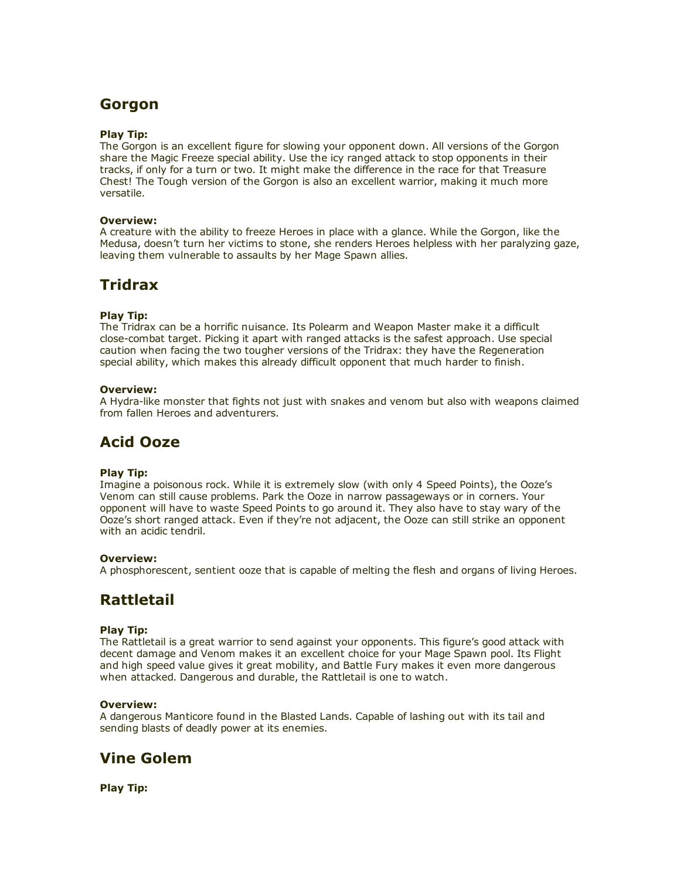# Gorgon

#### Play Tip:

The Gorgon is an excellent figure for slowing your opponent down. All versions of the Gorgon share the Magic Freeze special ability. Use the icy ranged attack to stop opponents in their tracks, if only for a turn or two. It might make the difference in the race for that Treasure Chest! The Tough version of the Gorgon is also an excellent warrior, making it much more versatile.

#### Overview:

A creature with the ability to freeze Heroes in place with a glance. While the Gorgon, like the Medusa, doesn't turn her victims to stone, she renders Heroes helpless with her paralyzing gaze, leaving them vulnerable to assaults by her Mage Spawn allies.

# Tridrax

#### Play Tip:

The Tridrax can be a horrific nuisance. Its Polearm and Weapon Master make it a difficult close-combat target. Picking it apart with ranged attacks is the safest approach. Use special caution when facing the two tougher versions of the Tridrax: they have the Regeneration special ability, which makes this already difficult opponent that much harder to finish.

#### Overview:

A Hydra-like monster that fights not just with snakes and venom but also with weapons claimed from fallen Heroes and adventurers.

# Acid Ooze

#### Play Tip:

Imagine a poisonous rock. While it is extremely slow (with only 4 Speed Points), the Ooze's Venom can still cause problems. Park the Ooze in narrow passageways or in corners. Your opponent will have to waste Speed Points to go around it. They also have to stay wary of the Ooze's short ranged attack. Even if they're not adjacent, the Ooze can still strike an opponent with an acidic tendril.

#### Overview:

A phosphorescent, sentient ooze that is capable of melting the flesh and organs of living Heroes.

# Rattletail

#### Play Tip:

The Rattletail is a great warrior to send against your opponents. This figure's good attack with decent damage and Venom makes it an excellent choice for your Mage Spawn pool. Its Flight and high speed value gives it great mobility, and Battle Fury makes it even more dangerous when attacked. Dangerous and durable, the Rattletail is one to watch.

#### Overview:

A dangerous Manticore found in the Blasted Lands. Capable of lashing out with its tail and sending blasts of deadly power at its enemies.

# Vine Golem

Play Tip: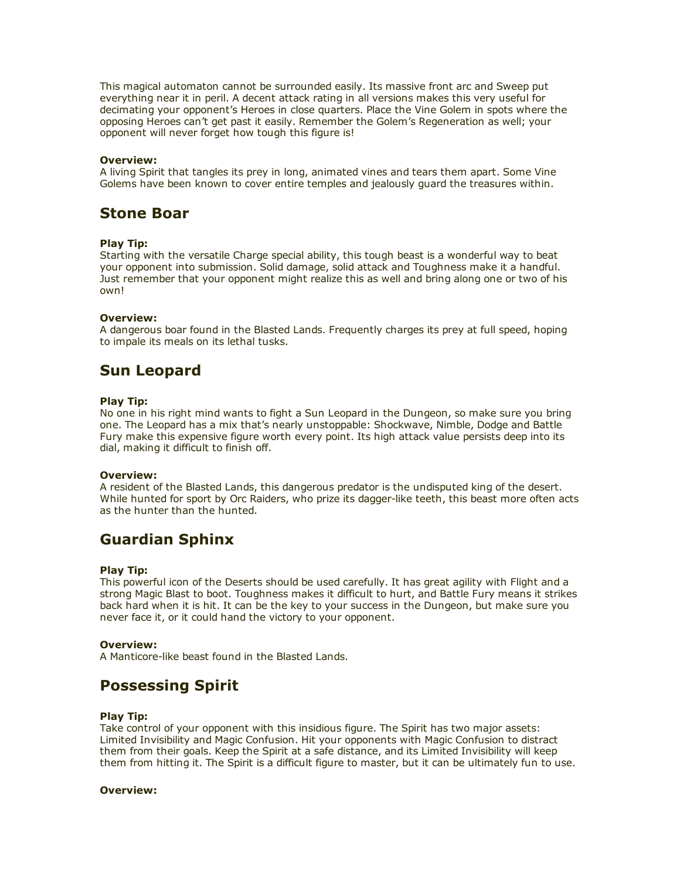This magical automaton cannot be surrounded easily. Its massive front arc and Sweep put everything near it in peril. A decent attack rating in all versions makes this very useful for decimating your opponent's Heroes in close quarters. Place the Vine Golem in spots where the opposing Heroes can't get past it easily. Remember the Golem's Regeneration as well; your opponent will never forget how tough this figure is!

#### Overview:

A living Spirit that tangles its prey in long, animated vines and tears them apart. Some Vine Golems have been known to cover entire temples and jealously guard the treasures within.

### Stone Boar

#### Play Tip:

Starting with the versatile Charge special ability, this tough beast is a wonderful way to beat your opponent into submission. Solid damage, solid attack and Toughness make it a handful. Just remember that your opponent might realize this as well and bring along one or two of his own!

#### Overview:

A dangerous boar found in the Blasted Lands. Frequently charges its prey at full speed, hoping to impale its meals on its lethal tusks.

### Sun Leopard

#### Play Tip:

No one in his right mind wants to fight a Sun Leopard in the Dungeon, so make sure you bring one. The Leopard has a mix that's nearly unstoppable: Shockwave, Nimble, Dodge and Battle Fury make this expensive figure worth every point. Its high attack value persists deep into its dial, making it difficult to finish off.

#### Overview:

A resident of the Blasted Lands, this dangerous predator is the undisputed king of the desert. While hunted for sport by Orc Raiders, who prize its dagger-like teeth, this beast more often acts as the hunter than the hunted.

# Guardian Sphinx

#### Play Tip:

This powerful icon of the Deserts should be used carefully. It has great agility with Flight and a strong Magic Blast to boot. Toughness makes it difficult to hurt, and Battle Fury means it strikes back hard when it is hit. It can be the key to your success in the Dungeon, but make sure you never face it, or it could hand the victory to your opponent.

#### Overview:

A Manticore-like beast found in the Blasted Lands.

# Possessing Spirit

#### Play Tip:

Take control of your opponent with this insidious figure. The Spirit has two major assets: Limited Invisibility and Magic Confusion. Hit your opponents with Magic Confusion to distract them from their goals. Keep the Spirit at a safe distance, and its Limited Invisibility will keep them from hitting it. The Spirit is a difficult figure to master, but it can be ultimately fun to use.

#### Overview: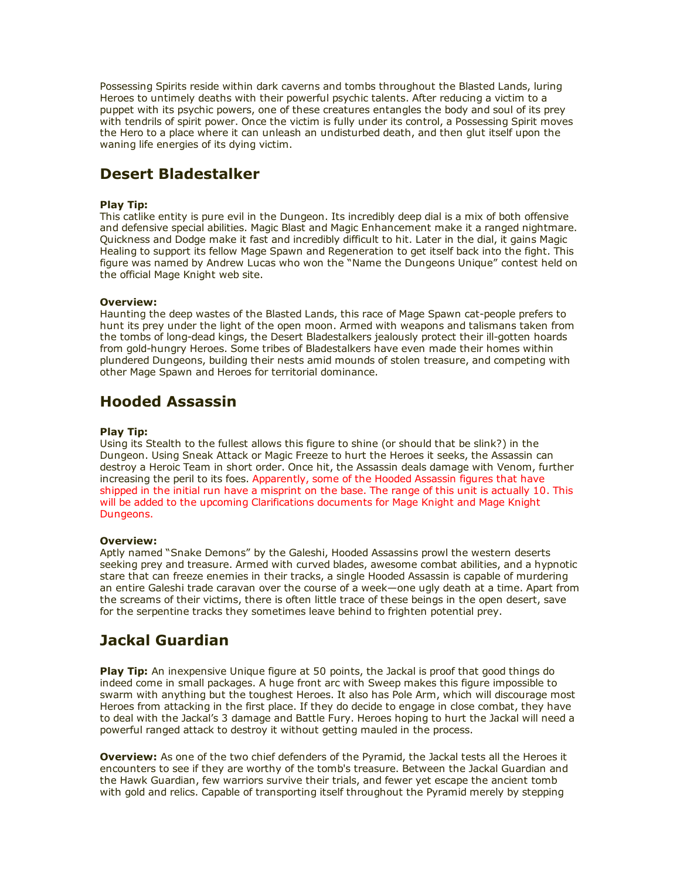Possessing Spirits reside within dark caverns and tombs throughout the Blasted Lands, luring Heroes to untimely deaths with their powerful psychic talents. After reducing a victim to a puppet with its psychic powers, one of these creatures entangles the body and soul of its prey with tendrils of spirit power. Once the victim is fully under its control, a Possessing Spirit moves the Hero to a place where it can unleash an undisturbed death, and then glut itself upon the waning life energies of its dying victim.

# Desert Bladestalker

#### Play Tip:

This catlike entity is pure evil in the Dungeon. Its incredibly deep dial is a mix of both offensive and defensive special abilities. Magic Blast and Magic Enhancement make it a ranged nightmare. Quickness and Dodge make it fast and incredibly difficult to hit. Later in the dial, it gains Magic Healing to support its fellow Mage Spawn and Regeneration to get itself back into the fight. This figure was named by Andrew Lucas who won the "Name the Dungeons Unique" contest held on the official Mage Knight web site.

#### Overview:

Haunting the deep wastes of the Blasted Lands, this race of Mage Spawn cat-people prefers to hunt its prey under the light of the open moon. Armed with weapons and talismans taken from the tombs of long-dead kings, the Desert Bladestalkers jealously protect their ill-gotten hoards from gold-hungry Heroes. Some tribes of Bladestalkers have even made their homes within plundered Dungeons, building their nests amid mounds of stolen treasure, and competing with other Mage Spawn and Heroes for territorial dominance.

### Hooded Assassin

#### Play Tip:

Using its Stealth to the fullest allows this figure to shine (or should that be slink?) in the Dungeon. Using Sneak Attack or Magic Freeze to hurt the Heroes it seeks, the Assassin can destroy a Heroic Team in short order. Once hit, the Assassin deals damage with Venom, further increasing the peril to its foes. Apparently, some of the Hooded Assassin figures that have shipped in the initial run have a misprint on the base. The range of this unit is actually 10. This will be added to the upcoming Clarifications documents for Mage Knight and Mage Knight Dungeons.

#### Overview:

Aptly named "Snake Demons" by the Galeshi, Hooded Assassins prowl the western deserts seeking prey and treasure. Armed with curved blades, awesome combat abilities, and a hypnotic stare that can freeze enemies in their tracks, a single Hooded Assassin is capable of murdering an entire Galeshi trade caravan over the course of a week—one ugly death at a time. Apart from the screams of their victims, there is often little trace of these beings in the open desert, save for the serpentine tracks they sometimes leave behind to frighten potential prey.

# Jackal Guardian

**Play Tip:** An inexpensive Unique figure at 50 points, the Jackal is proof that good things do indeed come in small packages. A huge front arc with Sweep makes this figure impossible to swarm with anything but the toughest Heroes. It also has Pole Arm, which will discourage most Heroes from attacking in the first place. If they do decide to engage in close combat, they have to deal with the Jackal's 3 damage and Battle Fury. Heroes hoping to hurt the Jackal will need a powerful ranged attack to destroy it without getting mauled in the process.

Overview: As one of the two chief defenders of the Pyramid, the Jackal tests all the Heroes it encounters to see if they are worthy of the tomb's treasure. Between the Jackal Guardian and the Hawk Guardian, few warriors survive their trials, and fewer yet escape the ancient tomb with gold and relics. Capable of transporting itself throughout the Pyramid merely by stepping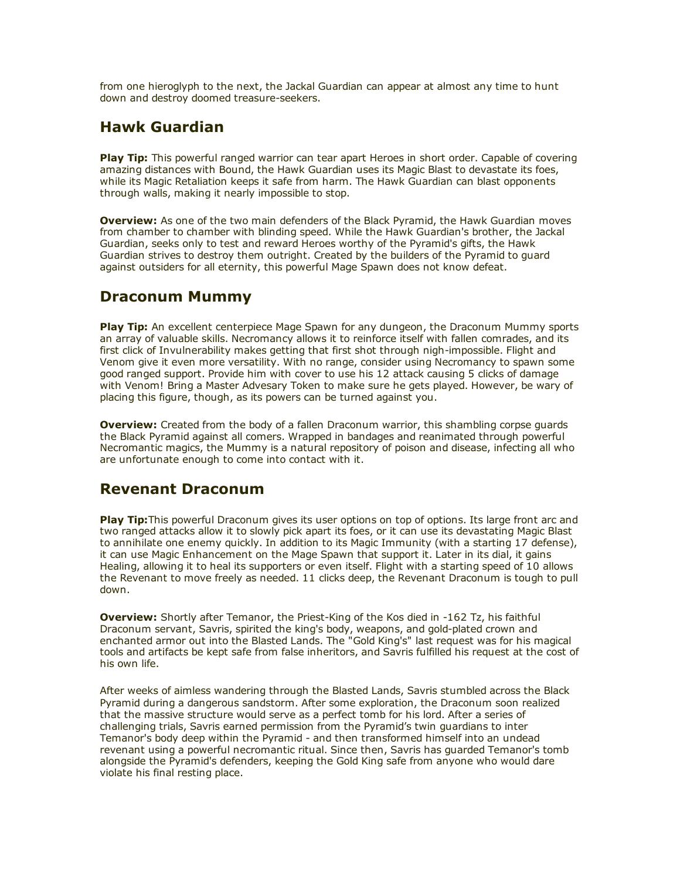from one hieroglyph to the next, the Jackal Guardian can appear at almost any time to hunt down and destroy doomed treasure-seekers.

### Hawk Guardian

Play Tip: This powerful ranged warrior can tear apart Heroes in short order. Capable of covering amazing distances with Bound, the Hawk Guardian uses its Magic Blast to devastate its foes, while its Magic Retaliation keeps it safe from harm. The Hawk Guardian can blast opponents through walls, making it nearly impossible to stop.

**Overview:** As one of the two main defenders of the Black Pyramid, the Hawk Guardian moves from chamber to chamber with blinding speed. While the Hawk Guardian's brother, the Jackal Guardian, seeks only to test and reward Heroes worthy of the Pyramid's gifts, the Hawk Guardian strives to destroy them outright. Created by the builders of the Pyramid to guard against outsiders for all eternity, this powerful Mage Spawn does not know defeat.

### Draconum Mummy

**Play Tip:** An excellent centerpiece Mage Spawn for any dungeon, the Draconum Mummy sports an array of valuable skills. Necromancy allows it to reinforce itself with fallen comrades, and its first click of Invulnerability makes getting that first shot through nigh-impossible. Flight and Venom give it even more versatility. With no range, consider using Necromancy to spawn some good ranged support. Provide him with cover to use his 12 attack causing 5 clicks of damage with Venom! Bring a Master Advesary Token to make sure he gets played. However, be wary of placing this figure, though, as its powers can be turned against you.

**Overview:** Created from the body of a fallen Draconum warrior, this shambling corpse guards the Black Pyramid against all comers. Wrapped in bandages and reanimated through powerful Necromantic magics, the Mummy is a natural repository of poison and disease, infecting all who are unfortunate enough to come into contact with it.

### Revenant Draconum

Play Tip: This powerful Draconum gives its user options on top of options. Its large front arc and two ranged attacks allow it to slowly pick apart its foes, or it can use its devastating Magic Blast to annihilate one enemy quickly. In addition to its Magic Immunity (with a starting 17 defense), it can use Magic Enhancement on the Mage Spawn that support it. Later in its dial, it gains Healing, allowing it to heal its supporters or even itself. Flight with a starting speed of 10 allows the Revenant to move freely as needed. 11 clicks deep, the Revenant Draconum is tough to pull down.

Overview: Shortly after Temanor, the Priest-King of the Kos died in -162 Tz, his faithful Draconum servant, Savris, spirited the king's body, weapons, and gold-plated crown and enchanted armor out into the Blasted Lands. The "Gold King's" last request was for his magical tools and artifacts be kept safe from false inheritors, and Savris fulfilled his request at the cost of his own life.

After weeks of aimless wandering through the Blasted Lands, Savris stumbled across the Black Pyramid during a dangerous sandstorm. After some exploration, the Draconum soon realized that the massive structure would serve as a perfect tomb for his lord. After a series of challenging trials, Savris earned permission from the Pyramid's twin guardians to inter Temanor's body deep within the Pyramid - and then transformed himself into an undead revenant using a powerful necromantic ritual. Since then, Savris has guarded Temanor's tomb alongside the Pyramid's defenders, keeping the Gold King safe from anyone who would dare violate his final resting place.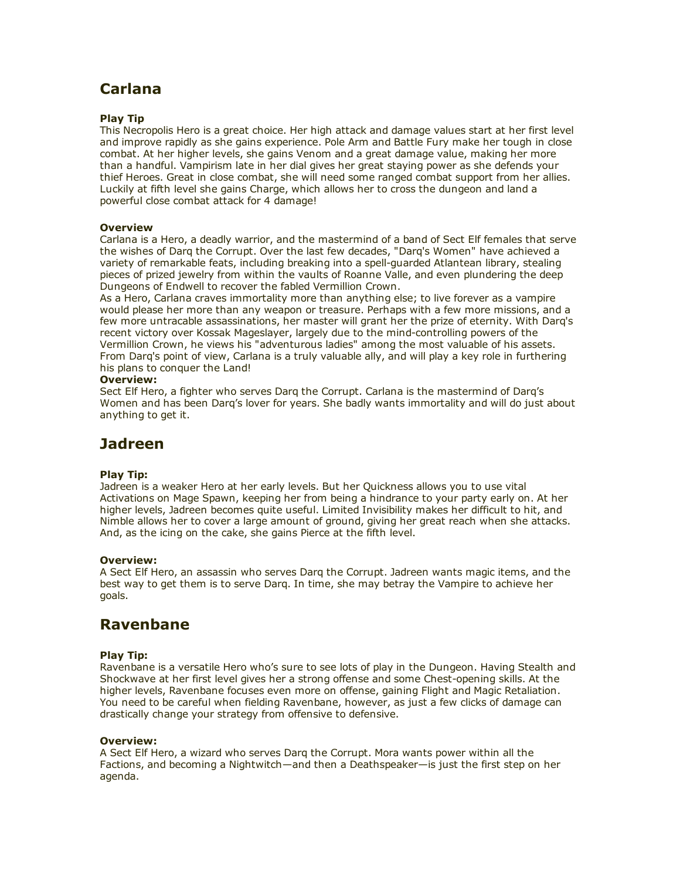# Carlana

#### Play Tip

This Necropolis Hero is a great choice. Her high attack and damage values start at her first level and improve rapidly as she gains experience. Pole Arm and Battle Fury make her tough in close combat. At her higher levels, she gains Venom and a great damage value, making her more than a handful. Vampirism late in her dial gives her great staying power as she defends your thief Heroes. Great in close combat, she will need some ranged combat support from her allies. Luckily at fifth level she gains Charge, which allows her to cross the dungeon and land a powerful close combat attack for 4 damage!

#### **Overview**

Carlana is a Hero, a deadly warrior, and the mastermind of a band of Sect Elf females that serve the wishes of Darq the Corrupt. Over the last few decades, "Darq's Women" have achieved a variety of remarkable feats, including breaking into a spell-guarded Atlantean library, stealing pieces of prized jewelry from within the vaults of Roanne Valle, and even plundering the deep Dungeons of Endwell to recover the fabled Vermillion Crown.

As a Hero, Carlana craves immortality more than anything else; to live forever as a vampire would please her more than any weapon or treasure. Perhaps with a few more missions, and a few more untracable assassinations, her master will grant her the prize of eternity. With Darq's recent victory over Kossak Mageslayer, largely due to the mind-controlling powers of the Vermillion Crown, he views his "adventurous ladies" among the most valuable of his assets. From Darq's point of view, Carlana is a truly valuable ally, and will play a key role in furthering his plans to conquer the Land!

#### Overview:

Sect Elf Hero, a fighter who serves Darq the Corrupt. Carlana is the mastermind of Darq's Women and has been Darq's lover for years. She badly wants immortality and will do just about anything to get it.

### Jadreen

#### Play Tip:

Jadreen is a weaker Hero at her early levels. But her Quickness allows you to use vital Activations on Mage Spawn, keeping her from being a hindrance to your party early on. At her higher levels, Jadreen becomes quite useful. Limited Invisibility makes her difficult to hit, and Nimble allows her to cover a large amount of ground, giving her great reach when she attacks. And, as the icing on the cake, she gains Pierce at the fifth level.

#### Overview:

A Sect Elf Hero, an assassin who serves Darq the Corrupt. Jadreen wants magic items, and the best way to get them is to serve Darq. In time, she may betray the Vampire to achieve her goals.

### Ravenbane

#### Play Tip:

Ravenbane is a versatile Hero who's sure to see lots of play in the Dungeon. Having Stealth and Shockwave at her first level gives her a strong offense and some Chest-opening skills. At the higher levels, Ravenbane focuses even more on offense, gaining Flight and Magic Retaliation. You need to be careful when fielding Ravenbane, however, as just a few clicks of damage can drastically change your strategy from offensive to defensive.

#### Overview:

A Sect Elf Hero, a wizard who serves Darq the Corrupt. Mora wants power within all the Factions, and becoming a Nightwitch—and then a Deathspeaker—is just the first step on her agenda.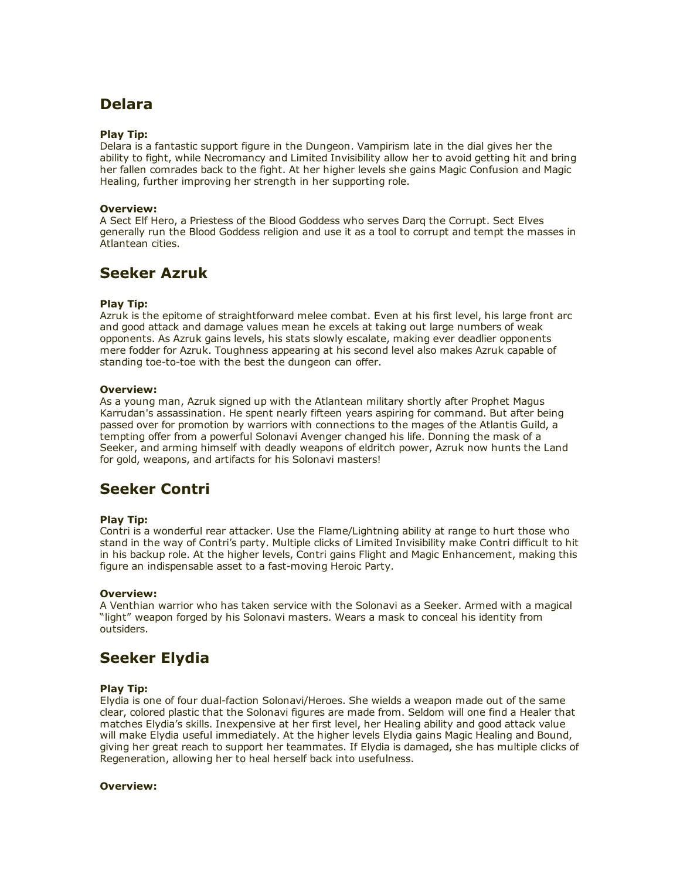# Delara

#### Play Tip:

Delara is a fantastic support figure in the Dungeon. Vampirism late in the dial gives her the ability to fight, while Necromancy and Limited Invisibility allow her to avoid getting hit and bring her fallen comrades back to the fight. At her higher levels she gains Magic Confusion and Magic Healing, further improving her strength in her supporting role.

#### Overview:

A Sect Elf Hero, a Priestess of the Blood Goddess who serves Darq the Corrupt. Sect Elves generally run the Blood Goddess religion and use it as a tool to corrupt and tempt the masses in Atlantean cities.

# Seeker Azruk

#### Play Tip:

Azruk is the epitome of straightforward melee combat. Even at his first level, his large front arc and good attack and damage values mean he excels at taking out large numbers of weak opponents. As Azruk gains levels, his stats slowly escalate, making ever deadlier opponents mere fodder for Azruk. Toughness appearing at his second level also makes Azruk capable of standing toe-to-toe with the best the dungeon can offer.

#### Overview:

As a young man, Azruk signed up with the Atlantean military shortly after Prophet Magus Karrudan's assassination. He spent nearly fifteen years aspiring for command. But after being passed over for promotion by warriors with connections to the mages of the Atlantis Guild, a tempting offer from a powerful Solonavi Avenger changed his life. Donning the mask of a Seeker, and arming himself with deadly weapons of eldritch power, Azruk now hunts the Land for gold, weapons, and artifacts for his Solonavi masters!

# Seeker Contri

#### Play Tip:

Contri is a wonderful rear attacker. Use the Flame/Lightning ability at range to hurt those who stand in the way of Contri's party. Multiple clicks of Limited Invisibility make Contri difficult to hit in his backup role. At the higher levels, Contri gains Flight and Magic Enhancement, making this figure an indispensable asset to a fast-moving Heroic Party.

#### Overview:

A Venthian warrior who has taken service with the Solonavi as a Seeker. Armed with a magical "light" weapon forged by his Solonavi masters. Wears a mask to conceal his identity from outsiders.

# Seeker Elydia

#### Play Tip:

Elydia is one of four dual-faction Solonavi/Heroes. She wields a weapon made out of the same clear, colored plastic that the Solonavi figures are made from. Seldom will one find a Healer that matches Elydia's skills. Inexpensive at her first level, her Healing ability and good attack value will make Elydia useful immediately. At the higher levels Elydia gains Magic Healing and Bound, giving her great reach to support her teammates. If Elydia is damaged, she has multiple clicks of Regeneration, allowing her to heal herself back into usefulness.

#### Overview: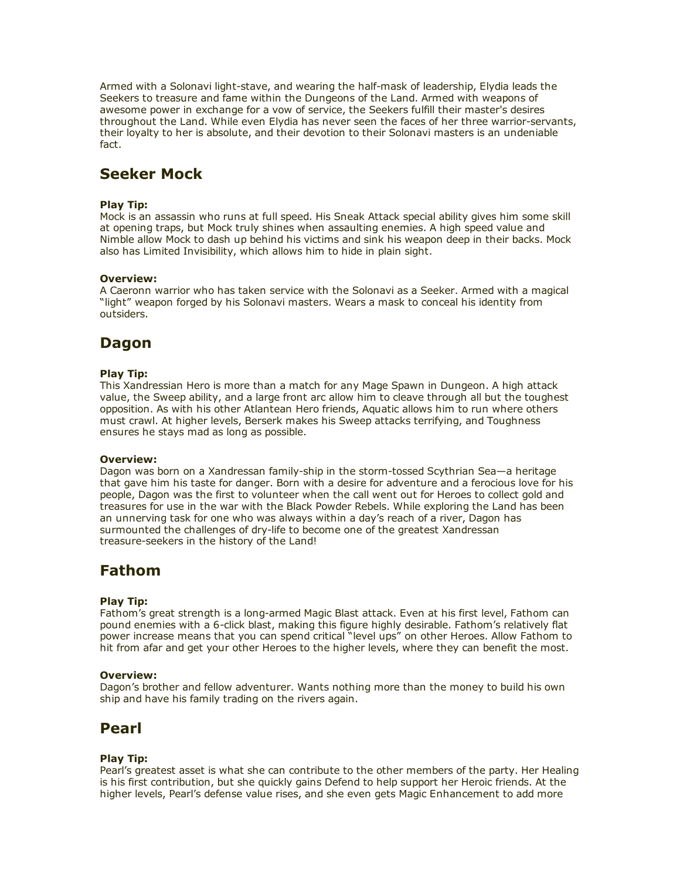Armed with a Solonavi light-stave, and wearing the half-mask of leadership, Elydia leads the Seekers to treasure and fame within the Dungeons of the Land. Armed with weapons of awesome power in exchange for a vow of service, the Seekers fulfill their master's desires throughout the Land. While even Elydia has never seen the faces of her three warrior-servants, their loyalty to her is absolute, and their devotion to their Solonavi masters is an undeniable fact.

# Seeker Mock

#### Play Tip:

Mock is an assassin who runs at full speed. His Sneak Attack special ability gives him some skill at opening traps, but Mock truly shines when assaulting enemies. A high speed value and Nimble allow Mock to dash up behind his victims and sink his weapon deep in their backs. Mock also has Limited Invisibility, which allows him to hide in plain sight.

#### Overview:

A Caeronn warrior who has taken service with the Solonavi as a Seeker. Armed with a magical "light" weapon forged by his Solonavi masters. Wears a mask to conceal his identity from outsiders.

# Dagon

#### Play Tip:

This Xandressian Hero is more than a match for any Mage Spawn in Dungeon. A high attack value, the Sweep ability, and a large front arc allow him to cleave through all but the toughest opposition. As with his other Atlantean Hero friends, Aquatic allows him to run where others must crawl. At higher levels, Berserk makes his Sweep attacks terrifying, and Toughness ensures he stays mad as long as possible.

#### Overview:

Dagon was born on a Xandressan family-ship in the storm-tossed Scythrian Sea-a heritage that gave him his taste for danger. Born with a desire for adventure and a ferocious love for his people, Dagon was the first to volunteer when the call went out for Heroes to collect gold and treasures for use in the war with the Black Powder Rebels. While exploring the Land has been an unnerving task for one who was always within a day's reach of a river, Dagon has surmounted the challenges of dry-life to become one of the greatest Xandressan treasure-seekers in the history of the Land!

# Fathom

#### Play Tip:

Fathom's great strength is a long-armed Magic Blast attack. Even at his first level, Fathom can pound enemies with a 6-click blast, making this figure highly desirable. Fathom's relatively flat power increase means that you can spend critical "level ups" on other Heroes. Allow Fathom to hit from afar and get your other Heroes to the higher levels, where they can benefit the most.

#### Overview:

Dagon's brother and fellow adventurer. Wants nothing more than the money to build his own ship and have his family trading on the rivers again.

### Pearl

#### Play Tip:

Pearl's greatest asset is what she can contribute to the other members of the party. Her Healing is his first contribution, but she quickly gains Defend to help support her Heroic friends. At the higher levels, Pearl's defense value rises, and she even gets Magic Enhancement to add more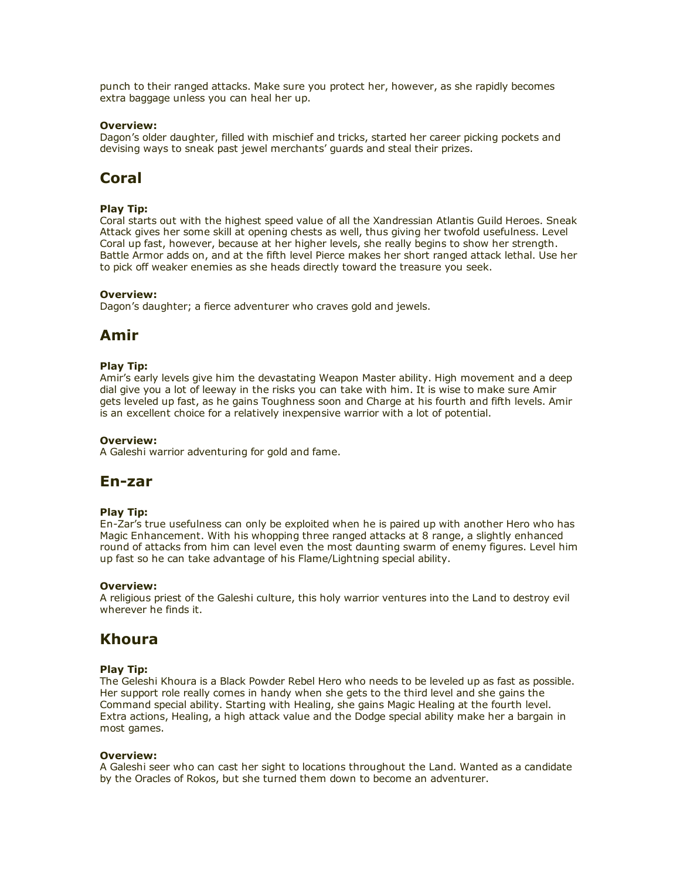punch to their ranged attacks. Make sure you protect her, however, as she rapidly becomes extra baggage unless you can heal her up.

#### Overview:

Dagon's older daughter, filled with mischief and tricks, started her career picking pockets and devising ways to sneak past jewel merchants' guards and steal their prizes.

### Coral

#### Play Tip:

Coral starts out with the highest speed value of all the Xandressian Atlantis Guild Heroes. Sneak Attack gives her some skill at opening chests as well, thus giving her twofold usefulness. Level Coral up fast, however, because at her higher levels, she really begins to show her strength. Battle Armor adds on, and at the fifth level Pierce makes her short ranged attack lethal. Use her to pick off weaker enemies as she heads directly toward the treasure you seek.

#### Overview:

Dagon's daughter; a fierce adventurer who craves gold and jewels.

### Amir

#### Play Tip:

Amir's early levels give him the devastating Weapon Master ability. High movement and a deep dial give you a lot of leeway in the risks you can take with him. It is wise to make sure Amir gets leveled up fast, as he gains Toughness soon and Charge at his fourth and fifth levels. Amir is an excellent choice for a relatively inexpensive warrior with a lot of potential.

#### Overview:

A Galeshi warrior adventuring for gold and fame.

### En-zar

#### Play Tip:

En-Zar's true usefulness can only be exploited when he is paired up with another Hero who has Magic Enhancement. With his whopping three ranged attacks at 8 range, a slightly enhanced round of attacks from him can level even the most daunting swarm of enemy figures. Level him up fast so he can take advantage of his Flame/Lightning special ability.

#### Overview:

A religious priest of the Galeshi culture, this holy warrior ventures into the Land to destroy evil wherever he finds it.

### Khoura

#### Play Tip:

The Geleshi Khoura is a Black Powder Rebel Hero who needs to be leveled up as fast as possible. Her support role really comes in handy when she gets to the third level and she gains the Command special ability. Starting with Healing, she gains Magic Healing at the fourth level. Extra actions, Healing, a high attack value and the Dodge special ability make her a bargain in most games.

#### Overview:

A Galeshi seer who can cast her sight to locations throughout the Land. Wanted as a candidate by the Oracles of Rokos, but she turned them down to become an adventurer.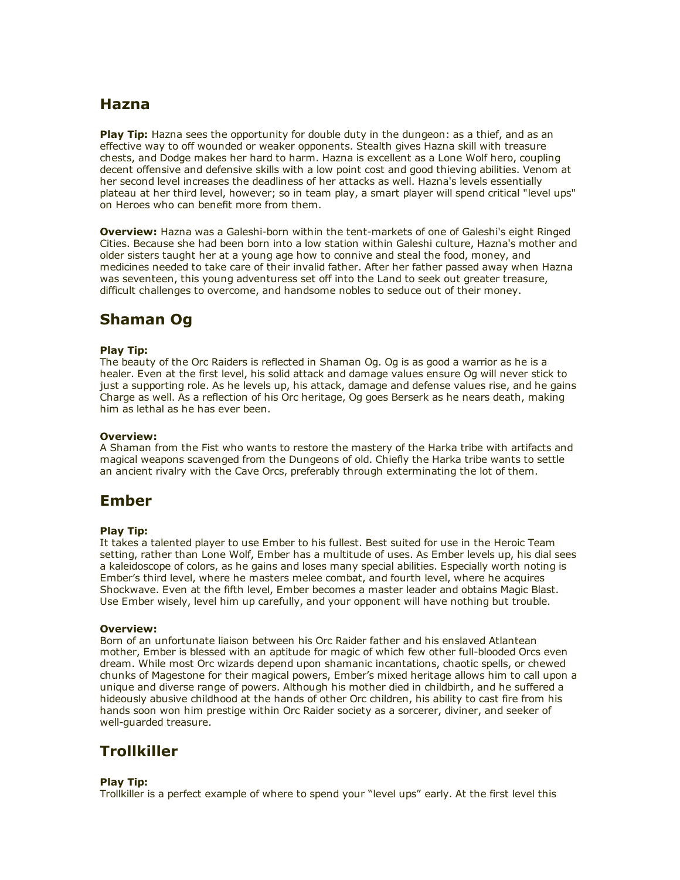### Hazna

Play Tip: Hazna sees the opportunity for double duty in the dungeon: as a thief, and as an effective way to off wounded or weaker opponents. Stealth gives Hazna skill with treasure chests, and Dodge makes her hard to harm. Hazna is excellent as a Lone Wolf hero, coupling decent offensive and defensive skills with a low point cost and good thieving abilities. Venom at her second level increases the deadliness of her attacks as well. Hazna's levels essentially plateau at her third level, however; so in team play, a smart player will spend critical "level ups" on Heroes who can benefit more from them.

Overview: Hazna was a Galeshi-born within the tent-markets of one of Galeshi's eight Ringed Cities. Because she had been born into a low station within Galeshi culture, Hazna's mother and older sisters taught her at a young age how to connive and steal the food, money, and medicines needed to take care of their invalid father. After her father passed away when Hazna was seventeen, this young adventuress set off into the Land to seek out greater treasure, difficult challenges to overcome, and handsome nobles to seduce out of their money.

# Shaman Og

#### Play Tip:

The beauty of the Orc Raiders is reflected in Shaman Og. Og is as good a warrior as he is a healer. Even at the first level, his solid attack and damage values ensure Og will never stick to just a supporting role. As he levels up, his attack, damage and defense values rise, and he gains Charge as well. As a reflection of his Orc heritage, Og goes Berserk as he nears death, making him as lethal as he has ever been.

#### Overview:

A Shaman from the Fist who wants to restore the mastery of the Harka tribe with artifacts and magical weapons scavenged from the Dungeons of old. Chiefly the Harka tribe wants to settle an ancient rivalry with the Cave Orcs, preferably through exterminating the lot of them.

### Ember

#### Play Tip:

It takes a talented player to use Ember to his fullest. Best suited for use in the Heroic Team setting, rather than Lone Wolf, Ember has a multitude of uses. As Ember levels up, his dial sees a kaleidoscope of colors, as he gains and loses many special abilities. Especially worth noting is Ember's third level, where he masters melee combat, and fourth level, where he acquires Shockwave. Even at the fifth level, Ember becomes a master leader and obtains Magic Blast. Use Ember wisely, level him up carefully, and your opponent will have nothing but trouble.

#### Overview:

Born of an unfortunate liaison between his Orc Raider father and his enslaved Atlantean mother, Ember is blessed with an aptitude for magic of which few other full-blooded Orcs even dream. While most Orc wizards depend upon shamanic incantations, chaotic spells, or chewed chunks of Magestone for their magical powers, Ember's mixed heritage allows him to call upon a unique and diverse range of powers. Although his mother died in childbirth, and he suffered a hideously abusive childhood at the hands of other Orc children, his ability to cast fire from his hands soon won him prestige within Orc Raider society as a sorcerer, diviner, and seeker of well-quarded treasure.

# **Trollkiller**

#### Play Tip:

Trollkiller is a perfect example of where to spend your "level ups" early. At the first level this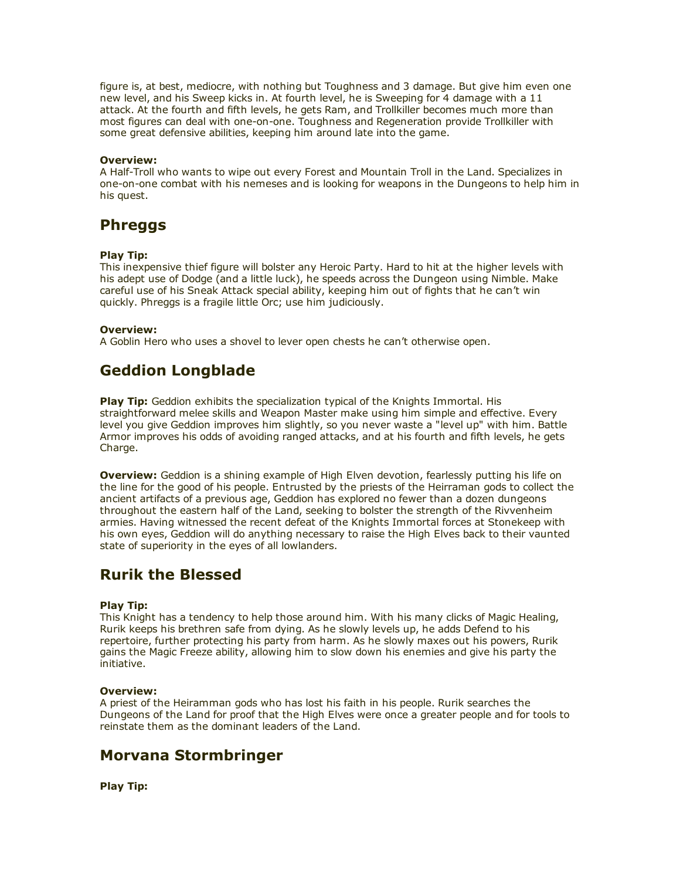figure is, at best, mediocre, with nothing but Toughness and 3 damage. But give him even one new level, and his Sweep kicks in. At fourth level, he is Sweeping for 4 damage with a 11 attack. At the fourth and fifth levels, he gets Ram, and Trollkiller becomes much more than most figures can deal with one-on-one. Toughness and Regeneration provide Trollkiller with some great defensive abilities, keeping him around late into the game.

#### Overview:

A Half-Troll who wants to wipe out every Forest and Mountain Troll in the Land. Specializes in one-on-one combat with his nemeses and is looking for weapons in the Dungeons to help him in his quest.

### Phreggs

#### Play Tip:

This inexpensive thief figure will bolster any Heroic Party. Hard to hit at the higher levels with his adept use of Dodge (and a little luck), he speeds across the Dungeon using Nimble. Make careful use of his Sneak Attack special ability, keeping him out of fights that he can't win quickly. Phreggs is a fragile little Orc; use him judiciously.

#### Overview:

A Goblin Hero who uses a shovel to lever open chests he can't otherwise open.

# Geddion Longblade

Play Tip: Geddion exhibits the specialization typical of the Knights Immortal. His straightforward melee skills and Weapon Master make using him simple and effective. Every level you give Geddion improves him slightly, so you never waste a "level up" with him. Battle Armor improves his odds of avoiding ranged attacks, and at his fourth and fifth levels, he gets Charge.

**Overview:** Geddion is a shining example of High Elven devotion, fearlessly putting his life on the line for the good of his people. Entrusted by the priests of the Heirraman gods to collect the ancient artifacts of a previous age, Geddion has explored no fewer than a dozen dungeons throughout the eastern half of the Land, seeking to bolster the strength of the Rivvenheim armies. Having witnessed the recent defeat of the Knights Immortal forces at Stonekeep with his own eyes, Geddion will do anything necessary to raise the High Elves back to their vaunted state of superiority in the eyes of all lowlanders.

### Rurik the Blessed

#### Play Tip:

This Knight has a tendency to help those around him. With his many clicks of Magic Healing, Rurik keeps his brethren safe from dying. As he slowly levels up, he adds Defend to his repertoire, further protecting his party from harm. As he slowly maxes out his powers, Rurik gains the Magic Freeze ability, allowing him to slow down his enemies and give his party the initiative.

#### Overview:

A priest of the Heiramman gods who has lost his faith in his people. Rurik searches the Dungeons of the Land for proof that the High Elves were once a greater people and for tools to reinstate them as the dominant leaders of the Land.

# Morvana Stormbringer

Play Tip: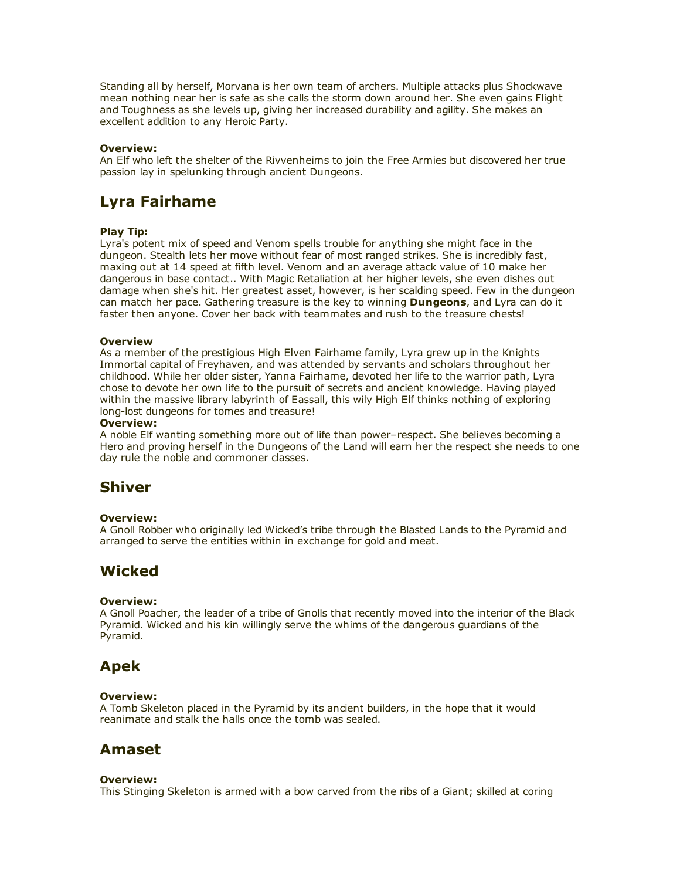Standing all by herself, Morvana is her own team of archers. Multiple attacks plus Shockwave mean nothing near her is safe as she calls the storm down around her. She even gains Flight and Toughness as she levels up, giving her increased durability and agility. She makes an excellent addition to any Heroic Party.

#### Overview:

An Elf who left the shelter of the Rivvenheims to join the Free Armies but discovered her true passion lay in spelunking through ancient Dungeons.

# Lyra Fairhame

#### Play Tip:

Lyra's potent mix of speed and Venom spells trouble for anything she might face in the dungeon. Stealth lets her move without fear of most ranged strikes. She is incredibly fast, maxing out at 14 speed at fifth level. Venom and an average attack value of 10 make her dangerous in base contact.. With Magic Retaliation at her higher levels, she even dishes out damage when she's hit. Her greatest asset, however, is her scalding speed. Few in the dungeon can match her pace. Gathering treasure is the key to winning **Dungeons**, and Lyra can do it faster then anyone. Cover her back with teammates and rush to the treasure chests!

#### **Overview**

As a member of the prestigious High Elven Fairhame family, Lyra grew up in the Knights Immortal capital of Freyhaven, and was attended by servants and scholars throughout her childhood. While her older sister, Yanna Fairhame, devoted her life to the warrior path, Lyra chose to devote her own life to the pursuit of secrets and ancient knowledge. Having played within the massive library labyrinth of Eassall, this wily High Elf thinks nothing of exploring long-lost dungeons for tomes and treasure!

#### Overview:

A noble Elf wanting something more out of life than power–respect. She believes becoming a Hero and proving herself in the Dungeons of the Land will earn her the respect she needs to one day rule the noble and commoner classes.

### Shiver

#### Overview:

A Gnoll Robber who originally led Wicked's tribe through the Blasted Lands to the Pyramid and arranged to serve the entities within in exchange for gold and meat.

### **Wicked**

#### Overview:

A Gnoll Poacher, the leader of a tribe of Gnolls that recently moved into the interior of the Black Pyramid. Wicked and his kin willingly serve the whims of the dangerous guardians of the Pyramid.

### Apek

#### Overview:

A Tomb Skeleton placed in the Pyramid by its ancient builders, in the hope that it would reanimate and stalk the halls once the tomb was sealed.

### Amaset

#### Overview:

This Stinging Skeleton is armed with a bow carved from the ribs of a Giant; skilled at coring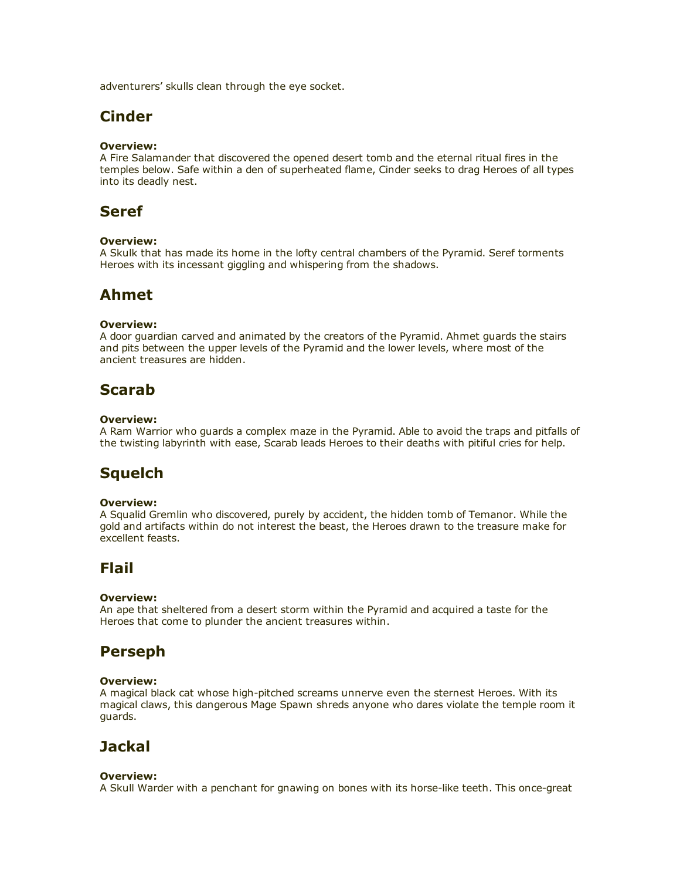adventurers' skulls clean through the eye socket.

### Cinder

#### Overview:

A Fire Salamander that discovered the opened desert tomb and the eternal ritual fires in the temples below. Safe within a den of superheated flame, Cinder seeks to drag Heroes of all types into its deadly nest.

### Seref

#### Overview:

A Skulk that has made its home in the lofty central chambers of the Pyramid. Seref torments Heroes with its incessant giggling and whispering from the shadows.

### Ahmet

#### Overview:

A door guardian carved and animated by the creators of the Pyramid. Ahmet guards the stairs and pits between the upper levels of the Pyramid and the lower levels, where most of the ancient treasures are hidden.

# Scarab

#### Overview:

A Ram Warrior who guards a complex maze in the Pyramid. Able to avoid the traps and pitfalls of the twisting labyrinth with ease, Scarab leads Heroes to their deaths with pitiful cries for help.

# Squelch

#### Overview:

A Squalid Gremlin who discovered, purely by accident, the hidden tomb of Temanor. While the gold and artifacts within do not interest the beast, the Heroes drawn to the treasure make for excellent feasts.

### Flail

#### Overview:

An ape that sheltered from a desert storm within the Pyramid and acquired a taste for the Heroes that come to plunder the ancient treasures within.

# Perseph

#### Overview:

A magical black cat whose high-pitched screams unnerve even the sternest Heroes. With its magical claws, this dangerous Mage Spawn shreds anyone who dares violate the temple room it guards.

# Jackal

#### Overview:

A Skull Warder with a penchant for gnawing on bones with its horse-like teeth. This once-great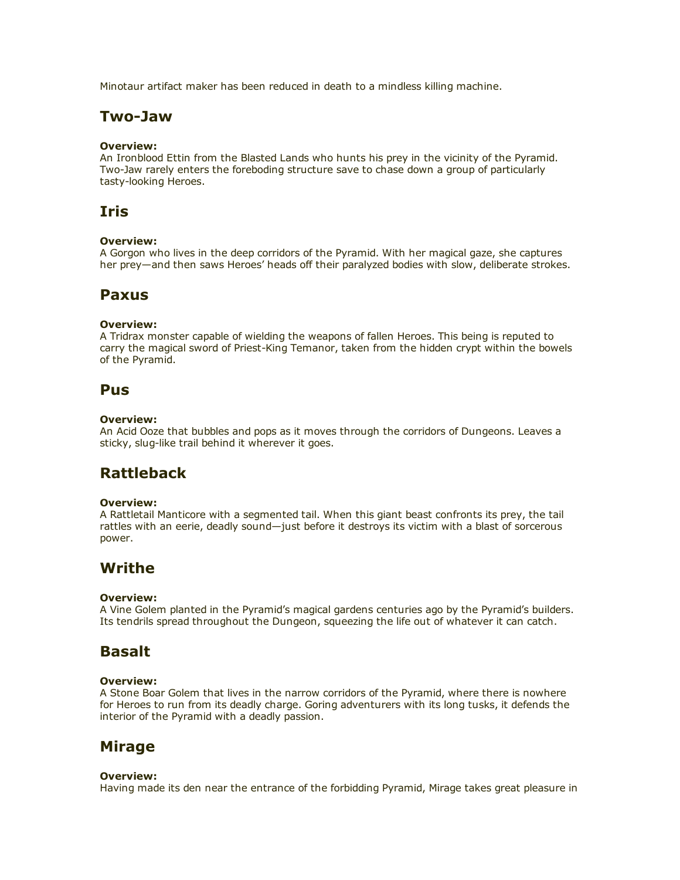Minotaur artifact maker has been reduced in death to a mindless killing machine.

### **Two-Jaw**

#### Overview:

An Ironblood Ettin from the Blasted Lands who hunts his prey in the vicinity of the Pyramid. Two-Jaw rarely enters the foreboding structure save to chase down a group of particularly tasty-looking Heroes.

### Iris

#### Overview:

A Gorgon who lives in the deep corridors of the Pyramid. With her magical gaze, she captures her prey—and then saws Heroes' heads off their paralyzed bodies with slow, deliberate strokes.

### Paxus

#### Overview:

A Tridrax monster capable of wielding the weapons of fallen Heroes. This being is reputed to carry the magical sword of Priest-King Temanor, taken from the hidden crypt within the bowels of the Pyramid.

### Pus

#### Overview:

An Acid Ooze that bubbles and pops as it moves through the corridors of Dungeons. Leaves a sticky, slug-like trail behind it wherever it goes.

# Rattleback

#### Overview:

A Rattletail Manticore with a segmented tail. When this giant beast confronts its prey, the tail rattles with an eerie, deadly sound—just before it destroys its victim with a blast of sorcerous power.

### **Writhe**

#### Overview:

A Vine Golem planted in the Pyramid's magical gardens centuries ago by the Pyramid's builders. Its tendrils spread throughout the Dungeon, squeezing the life out of whatever it can catch.

# Basalt

#### Overview:

A Stone Boar Golem that lives in the narrow corridors of the Pyramid, where there is nowhere for Heroes to run from its deadly charge. Goring adventurers with its long tusks, it defends the interior of the Pyramid with a deadly passion.

# Mirage

#### Overview:

Having made its den near the entrance of the forbidding Pyramid, Mirage takes great pleasure in